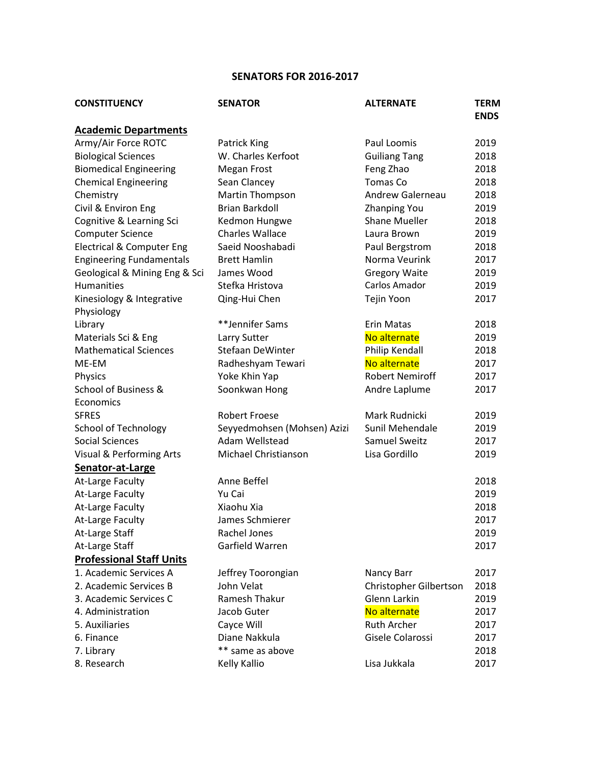## **SENATORS FOR 2016-2017**

| <b>CONSTITUENCY</b>                  | <b>SENATOR</b>              | <b>ALTERNATE</b>       | <b>TERM</b><br><b>ENDS</b> |
|--------------------------------------|-----------------------------|------------------------|----------------------------|
| <b>Academic Departments</b>          |                             |                        |                            |
| Army/Air Force ROTC                  | <b>Patrick King</b>         | Paul Loomis            | 2019                       |
| <b>Biological Sciences</b>           | W. Charles Kerfoot          | <b>Guiliang Tang</b>   | 2018                       |
| <b>Biomedical Engineering</b>        | <b>Megan Frost</b>          | Feng Zhao              | 2018                       |
| <b>Chemical Engineering</b>          | Sean Clancey                | Tomas Co               | 2018                       |
| Chemistry                            | <b>Martin Thompson</b>      | Andrew Galerneau       | 2018                       |
| Civil & Environ Eng                  | Brian Barkdoll              | <b>Zhanping You</b>    | 2019                       |
| Cognitive & Learning Sci             | Kedmon Hungwe               | <b>Shane Mueller</b>   | 2018                       |
| <b>Computer Science</b>              | <b>Charles Wallace</b>      | Laura Brown            | 2019                       |
| <b>Electrical &amp; Computer Eng</b> | Saeid Nooshabadi            | Paul Bergstrom         | 2018                       |
| <b>Engineering Fundamentals</b>      | <b>Brett Hamlin</b>         | Norma Veurink          | 2017                       |
| Geological & Mining Eng & Sci        | James Wood                  | <b>Gregory Waite</b>   | 2019                       |
| Humanities                           | Stefka Hristova             | Carlos Amador          | 2019                       |
| Kinesiology & Integrative            | Qing-Hui Chen               | Tejin Yoon             | 2017                       |
| Physiology                           |                             |                        |                            |
| Library                              | **Jennifer Sams             | Erin Matas             | 2018                       |
| Materials Sci & Eng                  | Larry Sutter                | No alternate           | 2019                       |
| <b>Mathematical Sciences</b>         | Stefaan DeWinter            | Philip Kendall         | 2018                       |
| ME-EM                                | Radheshyam Tewari           | No alternate           | 2017                       |
| Physics                              | Yoke Khin Yap               | <b>Robert Nemiroff</b> | 2017                       |
| School of Business &                 | Soonkwan Hong               | Andre Laplume          | 2017                       |
| Economics                            |                             |                        |                            |
| <b>SFRES</b>                         | <b>Robert Froese</b>        | Mark Rudnicki          | 2019                       |
| <b>School of Technology</b>          | Seyyedmohsen (Mohsen) Azizi | Sunil Mehendale        | 2019                       |
| <b>Social Sciences</b>               | Adam Wellstead              | Samuel Sweitz          | 2017                       |
| Visual & Performing Arts             | Michael Christianson        | Lisa Gordillo          | 2019                       |
| Senator-at-Large                     |                             |                        |                            |
| At-Large Faculty                     | Anne Beffel                 |                        | 2018                       |
| At-Large Faculty                     | Yu Cai                      |                        | 2019                       |
| At-Large Faculty                     | Xiaohu Xia                  |                        | 2018                       |
| At-Large Faculty                     | James Schmierer             |                        | 2017                       |
| At-Large Staff                       | Rachel Jones                |                        | 2019                       |
| At-Large Staff                       | Garfield Warren             |                        | 2017                       |
| <b>Professional Staff Units</b>      |                             |                        |                            |
| 1. Academic Services A               | Jeffrey Toorongian          | Nancy Barr             | 2017                       |
| 2. Academic Services B               | John Velat                  | Christopher Gilbertson | 2018                       |
| 3. Academic Services C               | Ramesh Thakur               | Glenn Larkin           | 2019                       |
| 4. Administration                    | Jacob Guter                 | No alternate           | 2017                       |
| 5. Auxiliaries                       | Cayce Will                  | <b>Ruth Archer</b>     | 2017                       |
| 6. Finance                           | Diane Nakkula               | Gisele Colarossi       | 2017                       |
| 7. Library                           | ** same as above            |                        | 2018                       |
| 8. Research                          | Kelly Kallio                | Lisa Jukkala           | 2017                       |